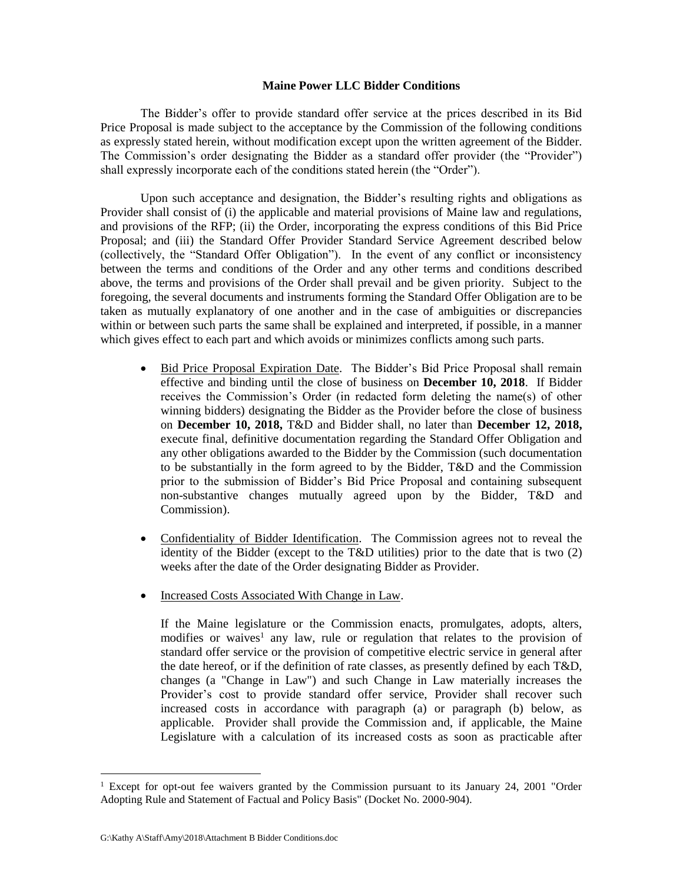## **Maine Power LLC Bidder Conditions**

The Bidder's offer to provide standard offer service at the prices described in its Bid Price Proposal is made subject to the acceptance by the Commission of the following conditions as expressly stated herein, without modification except upon the written agreement of the Bidder. The Commission's order designating the Bidder as a standard offer provider (the "Provider") shall expressly incorporate each of the conditions stated herein (the "Order").

Upon such acceptance and designation, the Bidder's resulting rights and obligations as Provider shall consist of (i) the applicable and material provisions of Maine law and regulations, and provisions of the RFP; (ii) the Order, incorporating the express conditions of this Bid Price Proposal; and (iii) the Standard Offer Provider Standard Service Agreement described below (collectively, the "Standard Offer Obligation"). In the event of any conflict or inconsistency between the terms and conditions of the Order and any other terms and conditions described above, the terms and provisions of the Order shall prevail and be given priority. Subject to the foregoing, the several documents and instruments forming the Standard Offer Obligation are to be taken as mutually explanatory of one another and in the case of ambiguities or discrepancies within or between such parts the same shall be explained and interpreted, if possible, in a manner which gives effect to each part and which avoids or minimizes conflicts among such parts.

- Bid Price Proposal Expiration Date. The Bidder's Bid Price Proposal shall remain effective and binding until the close of business on **December 10, 2018**. If Bidder receives the Commission's Order (in redacted form deleting the name(s) of other winning bidders) designating the Bidder as the Provider before the close of business on **December 10, 2018,** T&D and Bidder shall, no later than **December 12, 2018,** execute final, definitive documentation regarding the Standard Offer Obligation and any other obligations awarded to the Bidder by the Commission (such documentation to be substantially in the form agreed to by the Bidder, T&D and the Commission prior to the submission of Bidder's Bid Price Proposal and containing subsequent non-substantive changes mutually agreed upon by the Bidder, T&D and Commission).
- Confidentiality of Bidder Identification. The Commission agrees not to reveal the identity of the Bidder (except to the T&D utilities) prior to the date that is two (2) weeks after the date of the Order designating Bidder as Provider.
- Increased Costs Associated With Change in Law.

If the Maine legislature or the Commission enacts, promulgates, adopts, alters, modifies or waives<sup>1</sup> any law, rule or regulation that relates to the provision of standard offer service or the provision of competitive electric service in general after the date hereof, or if the definition of rate classes, as presently defined by each T&D, changes (a "Change in Law") and such Change in Law materially increases the Provider's cost to provide standard offer service, Provider shall recover such increased costs in accordance with paragraph (a) or paragraph (b) below, as applicable. Provider shall provide the Commission and, if applicable, the Maine Legislature with a calculation of its increased costs as soon as practicable after

 $\overline{a}$ 

 $1$  Except for opt-out fee waivers granted by the Commission pursuant to its January 24, 2001 "Order Adopting Rule and Statement of Factual and Policy Basis" (Docket No. 2000-904).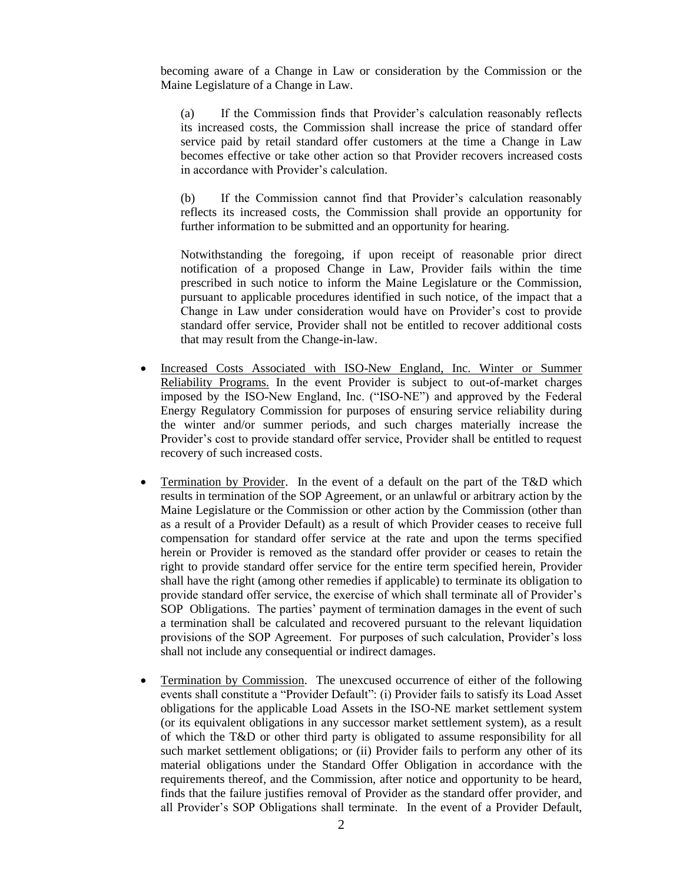becoming aware of a Change in Law or consideration by the Commission or the Maine Legislature of a Change in Law.

(a) If the Commission finds that Provider's calculation reasonably reflects its increased costs, the Commission shall increase the price of standard offer service paid by retail standard offer customers at the time a Change in Law becomes effective or take other action so that Provider recovers increased costs in accordance with Provider's calculation.

(b) If the Commission cannot find that Provider's calculation reasonably reflects its increased costs, the Commission shall provide an opportunity for further information to be submitted and an opportunity for hearing.

Notwithstanding the foregoing, if upon receipt of reasonable prior direct notification of a proposed Change in Law, Provider fails within the time prescribed in such notice to inform the Maine Legislature or the Commission, pursuant to applicable procedures identified in such notice, of the impact that a Change in Law under consideration would have on Provider's cost to provide standard offer service, Provider shall not be entitled to recover additional costs that may result from the Change-in-law.

- Increased Costs Associated with ISO-New England, Inc. Winter or Summer Reliability Programs. In the event Provider is subject to out-of-market charges imposed by the ISO-New England, Inc. ("ISO-NE") and approved by the Federal Energy Regulatory Commission for purposes of ensuring service reliability during the winter and/or summer periods, and such charges materially increase the Provider's cost to provide standard offer service, Provider shall be entitled to request recovery of such increased costs.
- Termination by Provider. In the event of a default on the part of the T&D which results in termination of the SOP Agreement, or an unlawful or arbitrary action by the Maine Legislature or the Commission or other action by the Commission (other than as a result of a Provider Default) as a result of which Provider ceases to receive full compensation for standard offer service at the rate and upon the terms specified herein or Provider is removed as the standard offer provider or ceases to retain the right to provide standard offer service for the entire term specified herein, Provider shall have the right (among other remedies if applicable) to terminate its obligation to provide standard offer service, the exercise of which shall terminate all of Provider's SOP Obligations. The parties' payment of termination damages in the event of such a termination shall be calculated and recovered pursuant to the relevant liquidation provisions of the SOP Agreement. For purposes of such calculation, Provider's loss shall not include any consequential or indirect damages.
- Termination by Commission. The unexcused occurrence of either of the following events shall constitute a "Provider Default": (i) Provider fails to satisfy its Load Asset obligations for the applicable Load Assets in the ISO-NE market settlement system (or its equivalent obligations in any successor market settlement system), as a result of which the T&D or other third party is obligated to assume responsibility for all such market settlement obligations; or (ii) Provider fails to perform any other of its material obligations under the Standard Offer Obligation in accordance with the requirements thereof, and the Commission, after notice and opportunity to be heard, finds that the failure justifies removal of Provider as the standard offer provider, and all Provider's SOP Obligations shall terminate. In the event of a Provider Default,